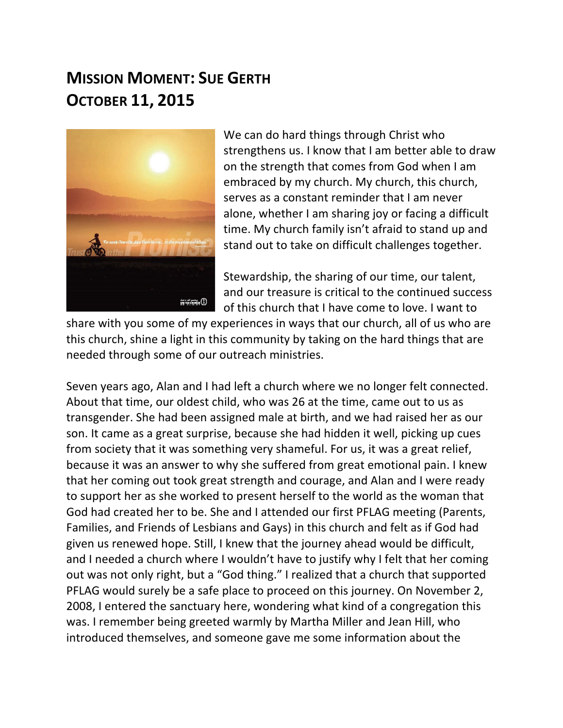## **MISSION MOMENT: SUE GERTH OCTOBER 11, 2015**



We can do hard things through Christ who strengthens us. I know that I am better able to draw on the strength that comes from God when I am embraced by my church. My church, this church, serves as a constant reminder that I am never alone, whether I am sharing joy or facing a difficult time. My church family isn't afraid to stand up and stand out to take on difficult challenges together.

Stewardship, the sharing of our time, our talent, and our treasure is critical to the continued success of this church that I have come to love. I want to

share with you some of my experiences in ways that our church, all of us who are this church, shine a light in this community by taking on the hard things that are needed through some of our outreach ministries.

Seven years ago, Alan and I had left a church where we no longer felt connected. About that time, our oldest child, who was 26 at the time, came out to us as transgender. She had been assigned male at birth, and we had raised her as our son. It came as a great surprise, because she had hidden it well, picking up cues from society that it was something very shameful. For us, it was a great relief, because it was an answer to why she suffered from great emotional pain. I knew that her coming out took great strength and courage, and Alan and I were ready to support her as she worked to present herself to the world as the woman that God had created her to be. She and I attended our first PFLAG meeting (Parents, Families, and Friends of Lesbians and Gays) in this church and felt as if God had given us renewed hope. Still, I knew that the journey ahead would be difficult, and I needed a church where I wouldn't have to justify why I felt that her coming out was not only right, but a "God thing." I realized that a church that supported PFLAG would surely be a safe place to proceed on this journey. On November 2, 2008, I entered the sanctuary here, wondering what kind of a congregation this was. I remember being greeted warmly by Martha Miller and Jean Hill, who introduced themselves, and someone gave me some information about the